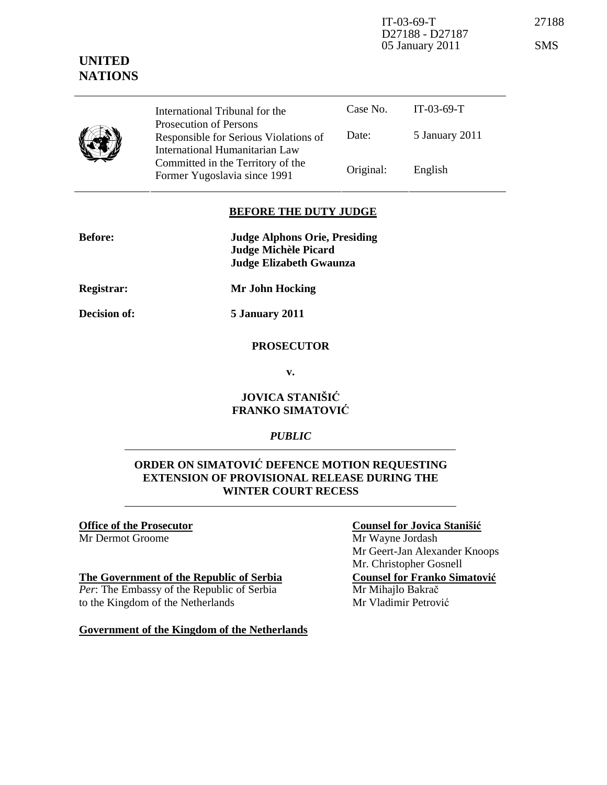IT-03-69-T 27188 D27188 - D27187 05 January 2011 SMS

# **UNITED NATIONS**

Case No. IT-03-69-T Date: 5 January 2011 International Tribunal for the Prosecution of Persons Responsible for Serious Violations of International Humanitarian Law Committed in the Territory of the

## **BEFORE THE DUTY JUDGE**

Former Yugoslavia since 1991 Original: English

| <b>Before:</b> | <b>Judge Alphons Orie, Presiding</b> |
|----------------|--------------------------------------|
|                | Judge Michèle Picard                 |
|                | Judge Elizabeth Gwaunza              |
|                |                                      |

**Registrar: Mr John Hocking** 

**Decision of: 5 January 2011** 

## **PROSECUTOR**

**v.** 

## **JOVICA STANIŠI**Ć **FRANKO SIMATOVI**Ć

## *PUBLIC*

# **ORDER ON SIMATOVI**Ć **DEFENCE MOTION REQUESTING EXTENSION OF PROVISIONAL RELEASE DURING THE WINTER COURT RECESS**

#### **Office of the Prosecutor** Mr Dermot Groome

## **The Government of the Republic of Serbia**

*Per*: The Embassy of the Republic of Serbia to the Kingdom of the Netherlands

**Government of the Kingdom of the Netherlands** 

#### **Counsel for Jovica Staniši**ć

Mr Wayne Jordash Mr Geert-Jan Alexander Knoops Mr. Christopher Gosnell **Counsel for Franko Simatovi**ć Mr Mihajlo Bakrač Mr Vladimir Petrović